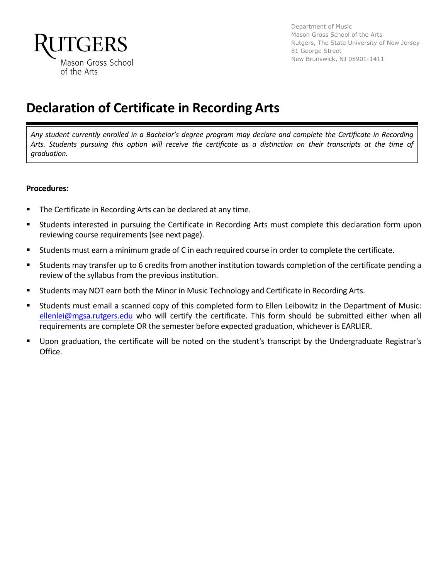

Department of Music Mason Gross School of the Arts Rutgers, The State University of New Jersey 81 George Street New Brunswick, NJ 08901-1411

## **Declaration of Certificate in Recording Arts**

*Any student currently enrolled in a Bachelor's degree program may declare and complete the Certificate in Recording Arts. Students pursuing this option will receive the certificate as a distinction on their transcripts at the time of graduation.*

#### **Procedures:**

- The Certificate in Recording Arts can be declared at any time.
- Students interested in pursuing the Certificate in Recording Arts must complete this declaration form upon reviewing course requirements (see next page).
- § Students must earn a minimum grade of C in each required course in order to complete the certificate.
- Students may transfer up to 6 credits from another institution towards completion of the certificate pending a review of the syllabus from the previous institution.
- Students may NOT earn both the Minor in Music Technology and Certificate in Recording Arts.
- § Students must email a scanned copy of this completed form to Ellen Leibowitz in the Department of Music: ellenlei@mgsa.rutgers.edu who will certify the certificate. This form should be submitted either when all requirements are complete OR the semester before expected graduation, whichever is EARLIER.
- Upon graduation, the certificate will be noted on the student's transcript by the Undergraduate Registrar's Office.